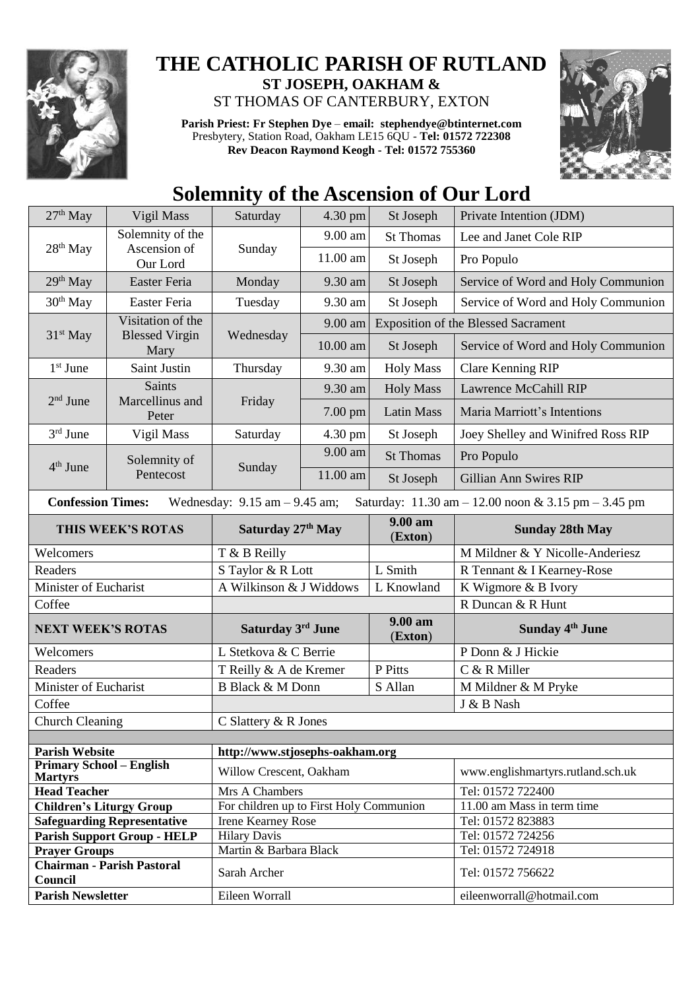

## **THE CATHOLIC PARISH OF RUTLAND ST JOSEPH, OAKHAM &**  ST THOMAS OF CANTERBURY, EXTON

**Parish Priest: Fr Stephen Dye** – **[email: stephendye@btinternet.com](mailto:email:%20%20stephendye@btinternet.com)** Presbytery, Station Road, Oakham LE15 6QU - **Tel: 01572 722308 Rev Deacon Raymond Keogh - Tel: 01572 755360**



## **Solemnity of the Ascension of Our Lord**

| $27th$ May                                                                                                          | Vigil Mass                                         | Saturday                                | 4.30 pm  | St Joseph          | Private Intention (JDM)                    |  |
|---------------------------------------------------------------------------------------------------------------------|----------------------------------------------------|-----------------------------------------|----------|--------------------|--------------------------------------------|--|
|                                                                                                                     | Solemnity of the                                   |                                         | 9.00 am  | <b>St Thomas</b>   | Lee and Janet Cole RIP                     |  |
| $28th$ May                                                                                                          | Ascension of<br>Our Lord                           | Sunday                                  | 11.00 am | St Joseph          | Pro Populo                                 |  |
| 29 <sup>th</sup> May                                                                                                | Easter Feria                                       | Monday                                  | 9.30 am  | St Joseph          | Service of Word and Holy Communion         |  |
| $30th$ May                                                                                                          | Easter Feria                                       | Tuesday                                 | 9.30 am  | St Joseph          | Service of Word and Holy Communion         |  |
|                                                                                                                     | Visitation of the<br><b>Blessed Virgin</b><br>Mary |                                         | 9.00 am  |                    | <b>Exposition of the Blessed Sacrament</b> |  |
| 31 <sup>st</sup> May                                                                                                |                                                    | Wednesday                               | 10.00 am | St Joseph          | Service of Word and Holy Communion         |  |
| $1st$ June                                                                                                          | Saint Justin                                       | Thursday                                | 9.30 am  | <b>Holy Mass</b>   | Clare Kenning RIP                          |  |
|                                                                                                                     | <b>Saints</b><br>Marcellinus and<br>Peter          |                                         | 9.30 am  | <b>Holy Mass</b>   | Lawrence McCahill RIP                      |  |
| $2nd$ June                                                                                                          |                                                    | Friday                                  | 7.00 pm  | <b>Latin Mass</b>  | Maria Marriott's Intentions                |  |
| $3rd$ June                                                                                                          | Vigil Mass                                         | Saturday                                | 4.30 pm  | St Joseph          | Joey Shelley and Winifred Ross RIP         |  |
| $4th$ June                                                                                                          | Solemnity of<br>Pentecost                          |                                         | 9.00 am  | <b>St Thomas</b>   | Pro Populo                                 |  |
|                                                                                                                     |                                                    | Sunday                                  | 11.00 am | St Joseph          | <b>Gillian Ann Swires RIP</b>              |  |
| <b>Confession Times:</b><br>Wednesday: $9.15$ am $-9.45$ am;<br>Saturday: 11.30 am - 12.00 noon & 3.15 pm - 3.45 pm |                                                    |                                         |          |                    |                                            |  |
| THIS WEEK'S ROTAS                                                                                                   |                                                    | Saturday 27th May                       |          | 9.00 am<br>(Exton) | <b>Sunday 28th May</b>                     |  |
| Welcomers                                                                                                           |                                                    | T & B Reilly                            |          |                    | M Mildner & Y Nicolle-Anderiesz            |  |
| Readers                                                                                                             |                                                    | S Taylor & R Lott                       |          | L Smith            | R Tennant & I Kearney-Rose                 |  |
| Minister of Eucharist                                                                                               |                                                    | A Wilkinson & J Widdows                 |          | L Knowland         | K Wigmore & B Ivory                        |  |
| Coffee                                                                                                              |                                                    |                                         |          |                    | R Duncan & R Hunt                          |  |
| <b>NEXT WEEK'S ROTAS</b>                                                                                            |                                                    | Saturday 3rd June                       |          | 9.00 am<br>(Exton) | Sunday 4 <sup>th</sup> June                |  |
| Welcomers                                                                                                           |                                                    |                                         |          |                    |                                            |  |
| Readers                                                                                                             |                                                    | L Stetkova & C Berrie                   |          |                    | P Donn & J Hickie                          |  |
|                                                                                                                     |                                                    | T Reilly & A de Kremer                  |          | P Pitts            | C & R Miller                               |  |
| Minister of Eucharist                                                                                               |                                                    | <b>B Black &amp; M Donn</b>             |          | S Allan            | M Mildner & M Pryke                        |  |
| Coffee                                                                                                              |                                                    |                                         |          |                    | J & B Nash                                 |  |
| <b>Church Cleaning</b>                                                                                              |                                                    | C Slattery & R Jones                    |          |                    |                                            |  |
|                                                                                                                     |                                                    |                                         |          |                    |                                            |  |
| <b>Parish Website</b>                                                                                               |                                                    | http://www.stjosephs-oakham.org         |          |                    |                                            |  |
| <b>Primary School – English</b><br><b>Martyrs</b>                                                                   |                                                    | Willow Crescent, Oakham                 |          |                    | www.englishmartyrs.rutland.sch.uk          |  |
| <b>Head Teacher</b>                                                                                                 |                                                    | Mrs A Chambers                          |          |                    | Tel: 01572 722400                          |  |
| <b>Children's Liturgy Group</b>                                                                                     |                                                    | For children up to First Holy Communion |          |                    | 11.00 am Mass in term time                 |  |
|                                                                                                                     | <b>Safeguarding Representative</b>                 | <b>Irene Kearney Rose</b>               |          |                    | Tel: 01572 823883                          |  |
|                                                                                                                     | <b>Parish Support Group - HELP</b>                 | <b>Hilary Davis</b>                     |          |                    | Tel: 01572 724256                          |  |
| <b>Prayer Groups</b>                                                                                                |                                                    | Martin & Barbara Black                  |          |                    | Tel: 01572 724918                          |  |
| Council                                                                                                             | <b>Chairman - Parish Pastoral</b>                  | Sarah Archer                            |          |                    | Tel: 01572 756622                          |  |